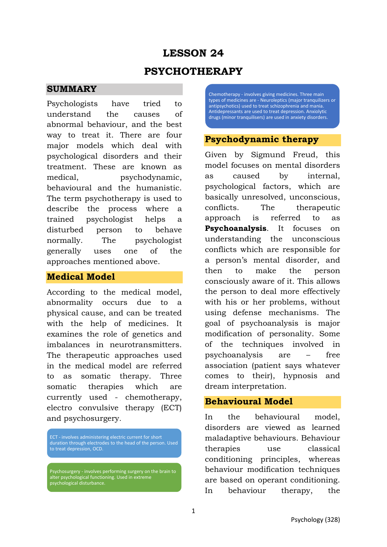# **LESSON 24 PSYCHOTHERAPY**

### **SUMMARY**

Psychologists have tried to understand the causes of abnormal behaviour, and the best way to treat it. There are four major models which deal with psychological disorders and their treatment. These are known as medical, psychodynamic, behavioural and the humanistic. The term psychotherapy is used to describe the process where a trained psychologist helps a disturbed person to behave normally. The psychologist generally uses one of the approaches mentioned above.

## **Medical Model**

According to the medical model, abnormality occurs due to a physical cause, and can be treated with the help of medicines. It examines the role of genetics and imbalances in neurotransmitters. The therapeutic approaches used in the medical model are referred to as somatic therapy. Three somatic therapies which are currently used - chemotherapy, electro convulsive therapy (ECT) and psychosurgery.

ECT - involves administering electric current for short duration through electrodes to the head of the person. Used to treat depression, OCD.

Psychosurgery - involves performing surgery on the brain to alter psychological functioning. Used in extreme psychological disturbance.

Chemotherapy - involves giving medicines. Three main types of medicines are - Neuroleptics (major tranquilizers or antipsychotics) used to treat schizophrenia and mania. Antidepressants are used to treat depression. Anxiolytic drugs (minor tranquilisers) are used in anxiety disorders.

# **Psychodynamic therapy**

Given by Sigmund Freud, this model focuses on mental disorders as caused by internal, psychological factors, which are basically unresolved, unconscious, conflicts. The therapeutic approach is referred to as **Psychoanalysis**. It focuses on understanding the unconscious conflicts which are responsible for a person's mental disorder, and then to make the person consciously aware of it. This allows the person to deal more effectively with his or her problems, without using defense mechanisms. The goal of psychoanalysis is major modification of personality. Some of the techniques involved in psychoanalysis are – free association (patient says whatever comes to their), hypnosis and dream interpretation.

# **Behavioural Model**

In the behavioural model, disorders are viewed as learned maladaptive behaviours. Behaviour therapies use classical conditioning principles, whereas behaviour modification techniques are based on operant conditioning. In behaviour therapy, the

1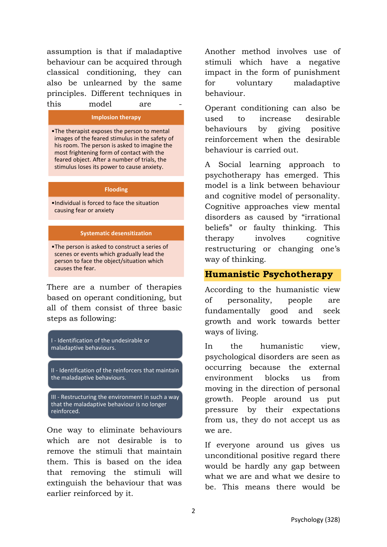assumption is that if maladaptive behaviour can be acquired through classical conditioning, they can also be unlearned by the same principles. Different techniques in this model are

#### **Implosion therapy**

•The therapist exposes the person to mental images of the feared stimulus in the safety of his room. The person is asked to imagine the most frightening form of contact with the feared object. After a number of trials, the stimulus loses its power to cause anxiety.

#### **Flooding**

•Individual is forced to face the situation causing fear or anxiety

#### **Systematic desensitization**

•The person is asked to construct a series of scenes or events which gradually lead the person to face the object/situation which causes the fear.

There are a number of therapies based on operant conditioning, but all of them consist of three basic steps as following:

I - Identification of the undesirable or maladaptive behaviours. II - Identification of the reinforcers that maintain the maladaptive behaviours.

III - Restructuring the environment in such a way that the maladaptive behaviour is no longer reinforced.

One way to eliminate behaviours which are not desirable is to remove the stimuli that maintain them. This is based on the idea that removing the stimuli will extinguish the behaviour that was earlier reinforced by it.

Another method involves use of stimuli which have a negative impact in the form of punishment for voluntary maladaptive behaviour.

Operant conditioning can also be used to increase desirable behaviours by giving positive reinforcement when the desirable behaviour is carried out.

A Social learning approach to psychotherapy has emerged. This model is a link between behaviour and cognitive model of personality. Cognitive approaches view mental disorders as caused by "irrational beliefs" or faulty thinking. This therapy involves cognitive restructuring or changing one's way of thinking.

## **Humanistic Psychotherapy**

According to the humanistic view of personality, people are fundamentally good and seek growth and work towards better ways of living.

In the humanistic view, psychological disorders are seen as occurring because the external environment blocks us from moving in the direction of personal growth. People around us put pressure by their expectations from us, they do not accept us as we are.

If everyone around us gives us unconditional positive regard there would be hardly any gap between what we are and what we desire to be. This means there would be